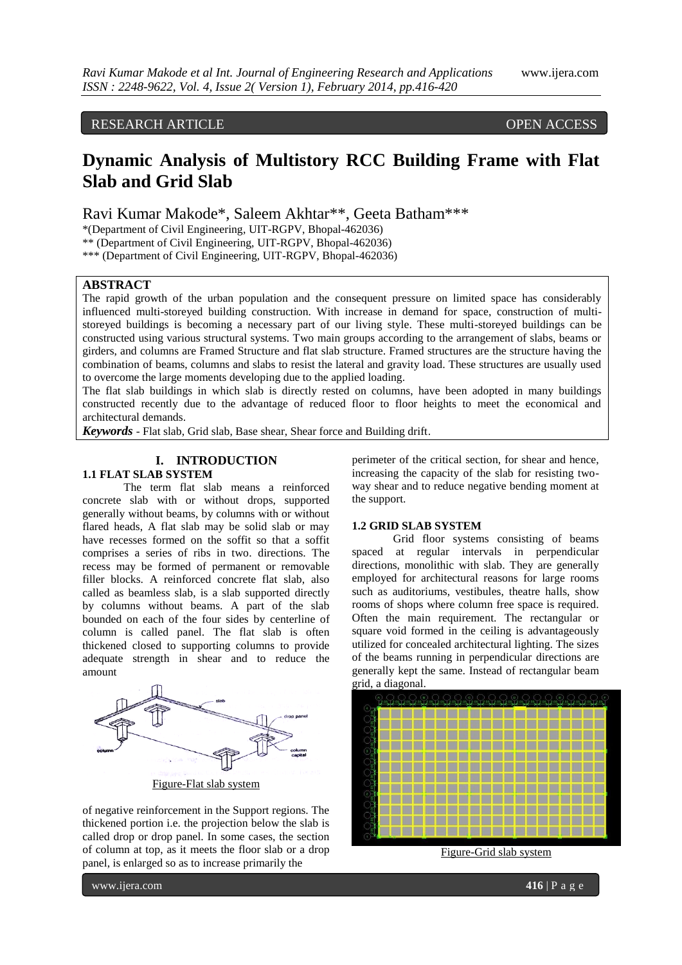# RESEARCH ARTICLE OPEN ACCESS

# **Dynamic Analysis of Multistory RCC Building Frame with Flat Slab and Grid Slab**

Ravi Kumar Makode\*, Saleem Akhtar\*\*, Geeta Batham\*\*\*

\*(Department of Civil Engineering, UIT-RGPV, Bhopal-462036)

\*\* (Department of Civil Engineering, UIT-RGPV, Bhopal-462036)

\*\*\* (Department of Civil Engineering, UIT-RGPV, Bhopal-462036)

## **ABSTRACT**

The rapid growth of the urban population and the consequent pressure on limited space has considerably influenced multi-storeyed building construction. With increase in demand for space, construction of multistoreyed buildings is becoming a necessary part of our living style. These multi-storeyed buildings can be constructed using various structural systems. Two main groups according to the arrangement of slabs, beams or girders, and columns are Framed Structure and flat slab structure. Framed structures are the structure having the combination of beams, columns and slabs to resist the lateral and gravity load. These structures are usually used to overcome the large moments developing due to the applied loading.

The flat slab buildings in which slab is directly rested on columns, have been adopted in many buildings constructed recently due to the advantage of reduced floor to floor heights to meet the economical and architectural demands.

*Keywords* - Flat slab, Grid slab, Base shear, Shear force and Building drift.

# **I. INTRODUCTION**

# **1.1 FLAT SLAB SYSTEM**

The term flat slab means a reinforced concrete slab with or without drops, supported generally without beams, by columns with or without flared heads, A flat slab may be solid slab or may have recesses formed on the soffit so that a soffit comprises a series of ribs in two. directions. The recess may be formed of permanent or removable filler blocks. A reinforced concrete flat slab, also called as beamless slab, is a slab supported directly by columns without beams. A part of the slab bounded on each of the four sides by centerline of column is called panel. The flat slab is often thickened closed to supporting columns to provide adequate strength in shear and to reduce the amount



of negative reinforcement in the Support regions. The thickened portion i.e. the projection below the slab is called drop or drop panel. In some cases, the section of column at top, as it meets the floor slab or a drop

panel, is enlarged so as to increase primarily the

perimeter of the critical section, for shear and hence, increasing the capacity of the slab for resisting twoway shear and to reduce negative bending moment at the support.

#### **1.2 GRID SLAB SYSTEM**

Grid floor systems consisting of beams spaced at regular intervals in perpendicular directions, monolithic with slab. They are generally employed for architectural reasons for large rooms such as auditoriums, vestibules, theatre halls, show rooms of shops where column free space is required. Often the main requirement. The rectangular or square void formed in the ceiling is advantageously utilized for concealed architectural lighting. The sizes of the beams running in perpendicular directions are generally kept the same. Instead of rectangular beam grid, a diagonal.



Figure-Grid slab system

www.ijera.com **416** | P a g e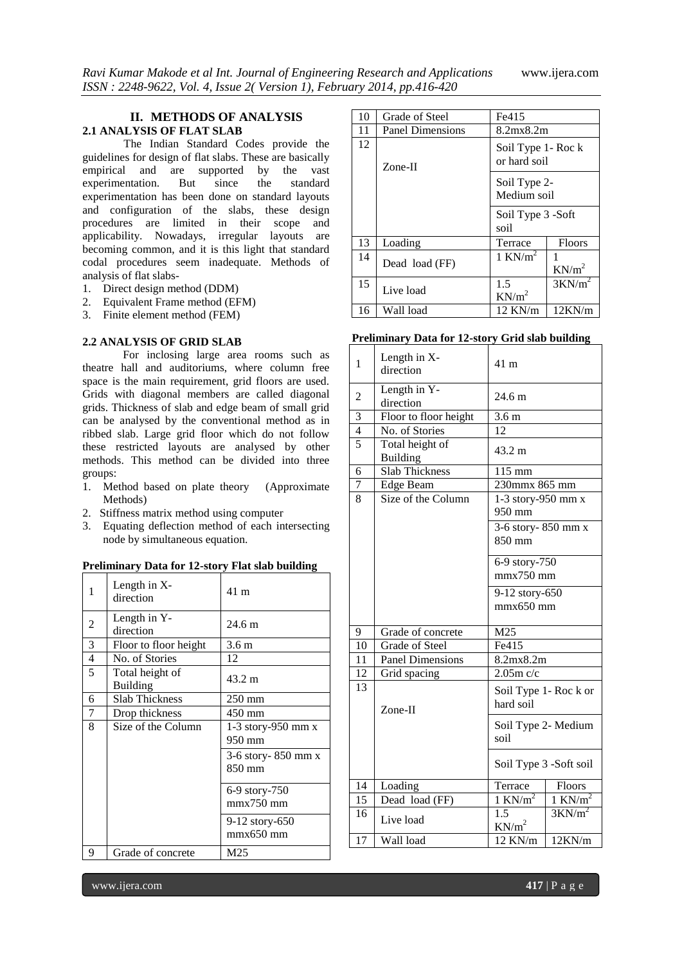# **II. METHODS OF ANALYSIS 2.1 ANALYSIS OF FLAT SLAB**

The Indian Standard Codes provide the guidelines for design of flat slabs. These are basically empirical and are supported by the vast<br>experimentation. But since the standard experimentation. experimentation has been done on standard layouts and configuration of the slabs, these design procedures are limited in their scope and applicability. Nowadays, irregular layouts are becoming common, and it is this light that standard codal procedures seem inadequate. Methods of analysis of flat slabs-

- 1. Direct design method (DDM)
- 2. Equivalent Frame method (EFM)
- 3. Finite element method (FEM)

## **2.2 ANALYSIS OF GRID SLAB**

For inclosing large area rooms such as theatre hall and auditoriums, where column free space is the main requirement, grid floors are used. Grids with diagonal members are called diagonal grids. Thickness of slab and edge beam of small grid can be analysed by the conventional method as in ribbed slab. Large grid floor which do not follow these restricted layouts are analysed by other methods. This method can be divided into three groups:

- 1. Method based on plate theory (Approximate Methods)
- 2. Stiffness matrix method using computer
- 3. Equating deflection method of each intersecting node by simultaneous equation.

## **Preliminary Data for 12-story Flat slab building**

| 1              | Length in X-<br>direction   | 41 m                          |
|----------------|-----------------------------|-------------------------------|
| 2              | Length in Y-<br>direction   | 24.6 <sub>m</sub>             |
| 3              | Floor to floor height       | 3.6 m                         |
| $\overline{4}$ | No. of Stories              | 12                            |
| 5              | Total height of<br>Building | 43.2 m                        |
| 6              | <b>Slab Thickness</b>       | $250 \text{ mm}$              |
| 7              | Drop thickness              | 450 mm                        |
| 8              | Size of the Column          | 1-3 story-950 mm x<br>950 mm  |
|                |                             | 3-6 story-850 mm x<br>850 mm  |
|                |                             | 6-9 story-750<br>$mmx750$ mm  |
|                |                             | 9-12 story-650<br>$mmx650$ mm |
| 9              | Grade of concrete           | M25                           |

| 10 | Grade of Steel          | Fe415                              |               |
|----|-------------------------|------------------------------------|---------------|
| 11 | <b>Panel Dimensions</b> | $8.2$ mx $8.2$ m                   |               |
| 12 | $Z$ one-II              | Soil Type 1- Roc k<br>or hard soil |               |
|    |                         | Soil Type 2-<br>Medium soil        |               |
|    |                         | Soil Type 3 -Soft<br>soil          |               |
| 13 | Loading                 | Terrace                            | <b>Floors</b> |
| 14 | Dead load (FF)          | $1$ KN/m <sup>2</sup>              | $KN/m^2$      |
| 15 | Live load               | 1.5<br>$KN/m^2$                    | $3KN/m^2$     |
| 16 | Wall load               | $12$ KN/m                          | 12KN/m        |

#### **Preliminary Data for 12-story Grid slab building**

| 1                       | Length in X-<br>direction          | 41 m                                                           |                       |  |  |
|-------------------------|------------------------------------|----------------------------------------------------------------|-----------------------|--|--|
| $\mathfrak{2}$          | Length in Y-<br>direction          | 24.6 m                                                         |                       |  |  |
| $\overline{\mathbf{3}}$ | Floor to floor height              | 3.6 <sub>m</sub>                                               |                       |  |  |
| $\overline{4}$          | No. of Stories                     | 12                                                             |                       |  |  |
| $\overline{5}$          | Total height of<br><b>Building</b> | $43.2 \text{ m}$                                               |                       |  |  |
| 6                       | <b>Slab Thickness</b>              | 115 mm                                                         |                       |  |  |
| 7                       | Edge Beam                          | 230mmx 865 mm                                                  |                       |  |  |
| 8                       | Size of the Column                 | 1-3 story-950 mm x<br>950 mm<br>$3-6$ story-850 mm x<br>850 mm |                       |  |  |
|                         |                                    |                                                                |                       |  |  |
|                         |                                    | 6-9 story-750                                                  |                       |  |  |
|                         |                                    | $mmx750$ mm                                                    |                       |  |  |
|                         |                                    | 9-12 story-650                                                 |                       |  |  |
|                         |                                    | $mmx650$ mm                                                    |                       |  |  |
| 9                       | Grade of concrete                  | M25                                                            |                       |  |  |
| 10                      | Grade of Steel                     | Fe415                                                          |                       |  |  |
| 11                      | <b>Panel Dimensions</b>            | 8.2mx8.2m                                                      |                       |  |  |
| 12                      | Grid spacing                       | 2.05m c/c                                                      |                       |  |  |
| 13                      | Zone-II                            | Soil Type 1- Roc k or<br>hard soil                             |                       |  |  |
|                         |                                    | Soil Type 2- Medium<br>soil<br>Soil Type 3 -Soft soil          |                       |  |  |
|                         |                                    |                                                                |                       |  |  |
| 14                      | Loading                            | Terrace                                                        | Floors                |  |  |
| 15                      | Dead load (FF)                     | $1$ KN/m <sup>2</sup>                                          | $1$ KN/m <sup>2</sup> |  |  |
| 16                      | Live load                          | 1.5<br>$KN/m^2$                                                | $3KN/m^2$             |  |  |
|                         |                                    |                                                                |                       |  |  |

www.ijera.com **417** | P a g e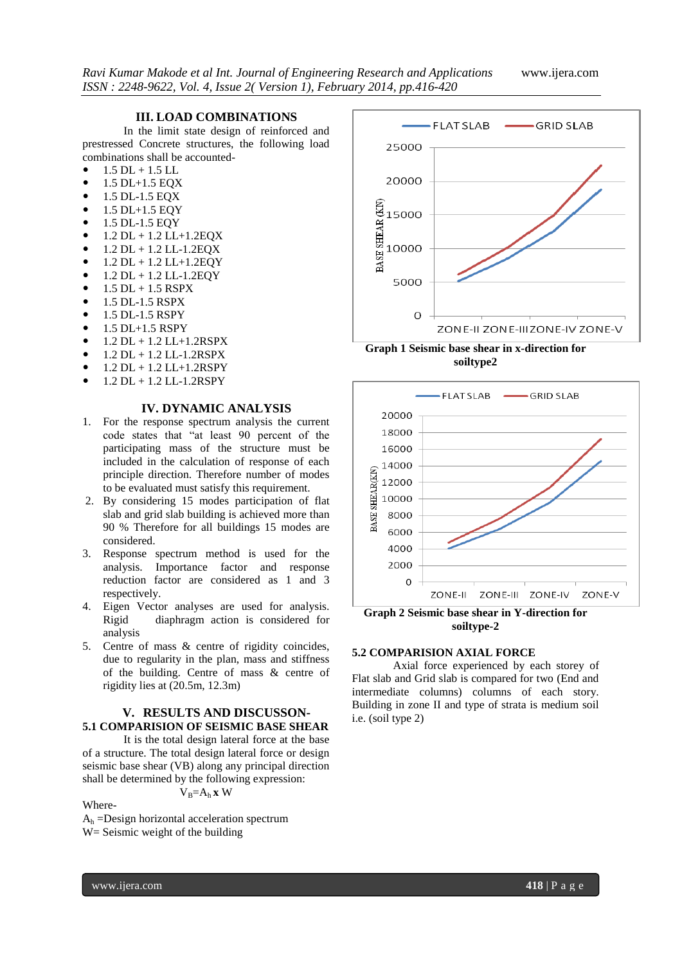#### **III. LOAD COMBINATIONS**

In the limit state design of reinforced and prestressed Concrete structures, the following load combinations shall be accounted-

- 1.5 DL + 1.5 LL
- 1.5 DL+1.5 EQX
- 1.5 DL-1.5 EQX
- 1.5 DL+1.5 EQY
- 1.5 DL-1.5 EQY
- 1.2 DL + 1.2 LL+1.2EQX
- 1.2 DL + 1.2 LL-1.2EQX
- 1.2 DL + 1.2 LL+1.2EQY
- 1.2 DL + 1.2 LL-1.2EQY
- $1.5$  DL + 1.5 RSPX
- 1.5 DL-1.5 RSPX
- $\bullet$  1.5 DL-1.5 RSPY
- 1.5 DL+1.5 RSPY
- 1.2 DL + 1.2 LL+1.2RSPX
- 1.2 DL + 1.2 LL-1.2RSPX
- 1.2 DL + 1.2 LL+1.2RSPY
- 1.2 DL + 1.2 LL-1.2RSPY

#### **IV. DYNAMIC ANALYSIS**

- 1. For the response spectrum analysis the current code states that "at least 90 percent of the participating mass of the structure must be included in the calculation of response of each principle direction. Therefore number of modes to be evaluated must satisfy this requirement.
- 2. By considering 15 modes participation of flat slab and grid slab building is achieved more than 90 % Therefore for all buildings 15 modes are considered.
- 3. Response spectrum method is used for the analysis. Importance factor and response reduction factor are considered as 1 and 3 respectively.
- 4. Eigen Vector analyses are used for analysis. Rigid diaphragm action is considered for analysis
- 5. Centre of mass & centre of rigidity coincides, due to regularity in the plan, mass and stiffness of the building. Centre of mass & centre of rigidity lies at (20.5m, 12.3m)

#### **V. RESULTS AND DISCUSSON-5.1 COMPARISION OF SEISMIC BASE SHEAR**

It is the total design lateral force at the base of a structure. The total design lateral force or design seismic base shear (VB) along any principal direction shall be determined by the following expression:

$$
\dot{V}_B = A_h \mathbf{x} \, W
$$

#### Where-

 $A_h$  =Design horizontal acceleration spectrum W= Seismic weight of the building



**Graph 1 Seismic base shear in x-direction for soiltype2**



**Graph 2 Seismic base shear in Y-direction for soiltype-2**

## **5.2 COMPARISION AXIAL FORCE**

Axial force experienced by each storey of Flat slab and Grid slab is compared for two (End and intermediate columns) columns of each story. Building in zone II and type of strata is medium soil i.e. (soil type 2)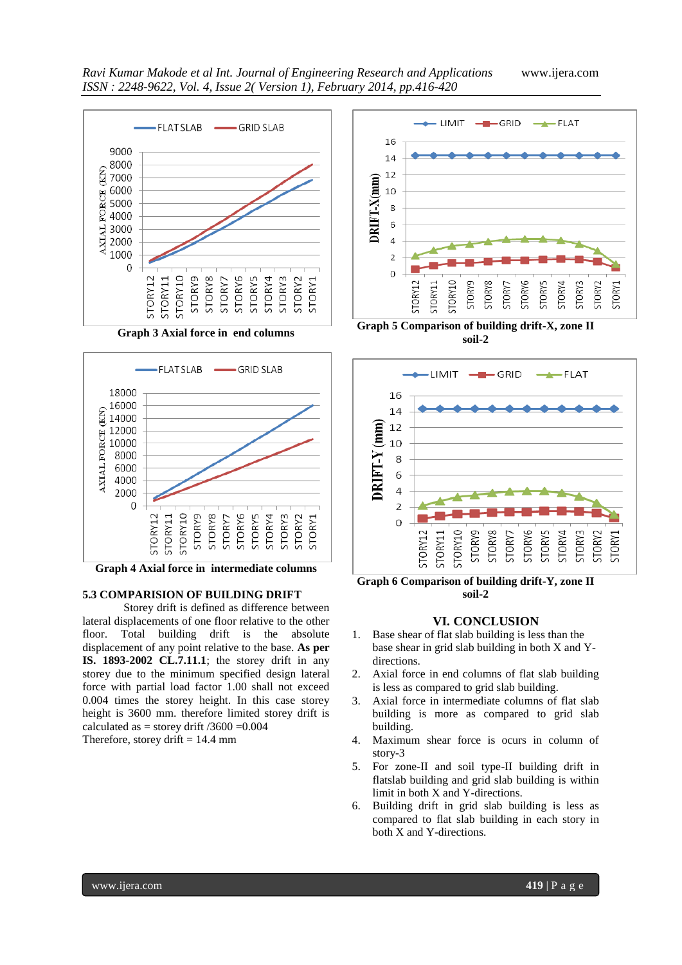

**Graph 3 Axial force in end columns**



**Graph 4 Axial force in intermediate columns**

#### **5.3 COMPARISION OF BUILDING DRIFT**

Storey drift is defined as difference between lateral displacements of one floor relative to the other floor. Total building drift is the absolute displacement of any point relative to the base. **As per IS. 1893-2002 CL.7.11.1**; the storey drift in any storey due to the minimum specified design lateral force with partial load factor 1.00 shall not exceed 0.004 times the storey height. In this case storey height is 3600 mm. therefore limited storey drift is calculated as = storey drift  $/3600 = 0.004$ Therefore, storey drift  $= 14.4$  mm



**Graph 5 Comparison of building drift-X, zone II soil-2**



**Graph 6 Comparison of building drift-Y, zone II soil-2**

### **VI. CONCLUSION**

- 1. Base shear of flat slab building is less than the base shear in grid slab building in both X and Ydirections.
- 2. Axial force in end columns of flat slab building is less as compared to grid slab building.
- 3. Axial force in intermediate columns of flat slab building is more as compared to grid slab building.
- 4. Maximum shear force is ocurs in column of story-3
- 5. For zone-II and soil type-II building drift in flatslab building and grid slab building is within limit in both X and Y-directions.
- 6. Building drift in grid slab building is less as compared to flat slab building in each story in both X and Y-directions.